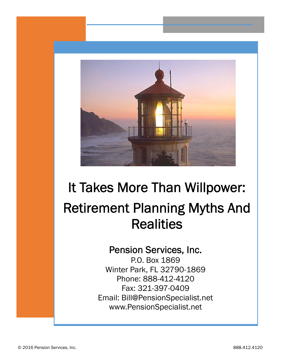

# **It Takes More Than Willpower: Retirement Planning Myths And Realities**

## **Pension Services, Inc.**

P.O. Box 1869 Winter Park, FL 32790-1869 Phone: 888-412-4120 Fax: 321-397-0409 Email: Bill@PensionSpecialist.net www.PensionSpecialist.net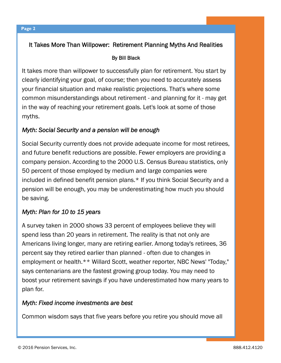### **It Takes More Than Willpower: Retirement Planning Myths And Realities**

#### **By Bill Black**

It takes more than willpower to successfully plan for retirement. You start by clearly identifying your goal, of course; then you need to accurately assess your financial situation and make realistic projections. That's where some common misunderstandings about retirement - and planning for it - may get in the way of reaching your retirement goals. Let's look at some of those myths.

#### *Myth: Social Security and a pension will be enough*

Social Security currently does not provide adequate income for most retirees, and future benefit reductions are possible. Fewer employers are providing a company pension. According to the 2000 U.S. Census Bureau statistics, only 50 percent of those employed by medium and large companies were included in defined benefit pension plans.\* If you think Social Security and a pension will be enough, you may be underestimating how much you should be saving.

#### *Myth: Plan for 10 to 15 years*

A survey taken in 2000 shows 33 percent of employees believe they will spend less than 20 years in retirement. The reality is that not only are Americans living longer, many are retiring earlier. Among today's retirees, 36 percent say they retired earlier than planned - often due to changes in employment or health.\*\* Willard Scott, weather reporter, NBC News' "Today," says centenarians are the fastest growing group today. You may need to boost your retirement savings if you have underestimated how many years to plan for.

#### *Myth: Fixed income investments are best*

Common wisdom says that five years before you retire you should move all